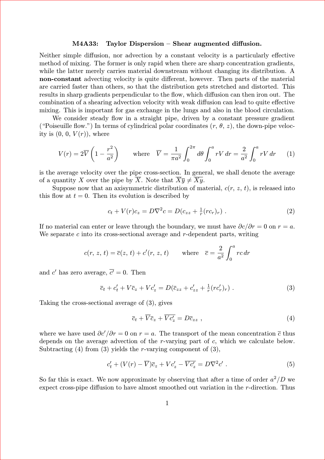## M4A33: Taylor Dispersion – Shear augmented diffusion.

Neither simple diffusion, nor advection by a constant velocity is a particularly effective method of mixing. The former is only rapid when there are sharp concentration gradients, while the latter merely carries material downstream without changing its distribution. A non-constant advecting velocity is quite different, however. Then parts of the material are carried faster than others, so that the distribution gets stretched and distorted. This results in sharp gradients perpendicular to the flow, which diffusion can then iron out. The combination of a shearing advection velocity with weak diffusion can lead to quite effective mixing. This is important for gas exchange in the lungs and also in the blood circulation.

We consider steady flow in a straight pipe, driven by a constant pressure gradient ("Poiseuille flow.") In terms of cylindrical polar coordinates  $(r, \theta, z)$ , the down-pipe velocity is  $(0, 0, V(r))$ , where

$$
V(r) = 2\overline{V}\left(1 - \frac{r^2}{a^2}\right) \qquad \text{where} \quad \overline{V} = \frac{1}{\pi a^2} \int_0^{2\pi} d\theta \int_0^a rV \, dr = \frac{2}{a^2} \int_0^a rV \, dr \qquad (1)
$$

is the average velocity over the pipe cross-section. In general, we shall denote the average of a quantity X over the pipe by  $\overline{X}$ . Note that  $\overline{X\overline{y}} \neq \overline{X\overline{y}}$ .

Suppose now that an axisymmetric distribution of material,  $c(r, z, t)$ , is released into this flow at  $t = 0$ . Then its evolution is described by

$$
c_t + V(r)c_z = D\nabla^2 c = D(c_{zz} + \frac{1}{r}(rc_r)_r) . \tag{2}
$$

If no material can enter or leave through the boundary, we must have  $\partial c/\partial r = 0$  on  $r = a$ . We separate  $c$  into its cross-sectional average and  $r$ -dependent parts, writing

$$
c(r, z, t) = \overline{c}(z, t) + c'(r, z, t)
$$
 where  $\overline{c} = \frac{2}{a^2} \int_0^a rc dr$ 

and  $c'$  has zero average,  $\overline{c'} = 0$ . Then

$$
\overline{c}_t + c'_t + V\overline{c}_z + Vc'_z = D(\overline{c}_{zz} + c'_{zz} + \frac{1}{r}(rc'_r)_r) . \tag{3}
$$

Taking the cross-sectional average of (3), gives

$$
\overline{c}_t + \overline{V}\overline{c}_z + \overline{Vc'_z} = D\overline{c}_{zz} , \qquad (4)
$$

where we have used  $\partial c'/\partial r = 0$  on  $r = a$ . The transport of the mean concentration  $\bar{c}$  thus depends on the average advection of the r-varying part of c, which we calculate below. Subtracting  $(4)$  from  $(3)$  yields the *r*-varying component of  $(3)$ ,

$$
c'_{t} + (V(r) - \overline{V})\overline{c}_{z} + Vc'_{z} - \overline{Vc'_{z}} = D\nabla^{2}c' . \qquad (5)
$$

So far this is exact. We now approximate by observing that after a time of order  $a^2/D$  we expect cross-pipe diffusion to have almost smoothed out variation in the r-direction. Thus